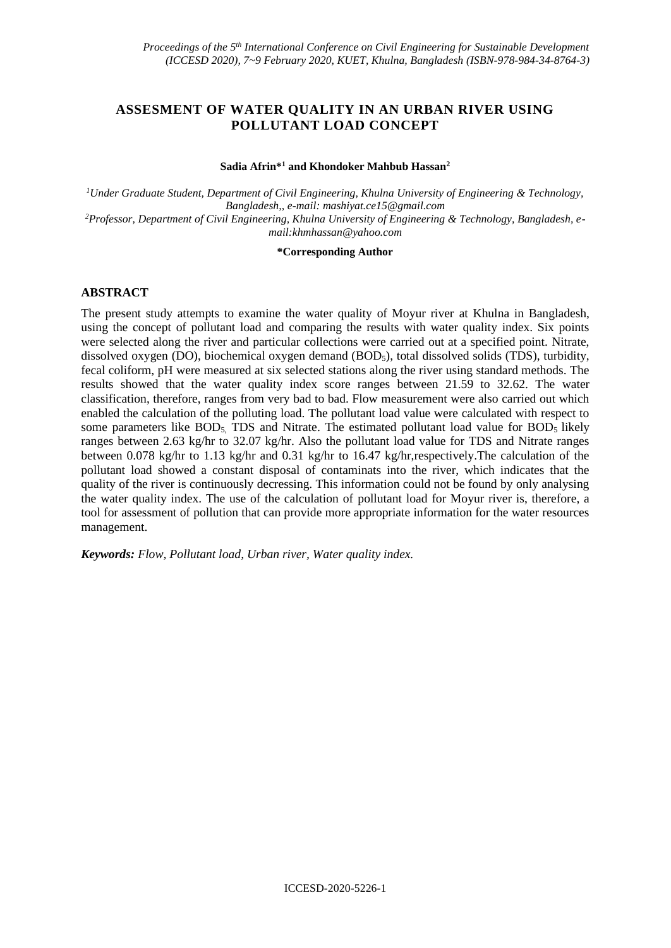# **ASSESMENT OF WATER QUALITY IN AN URBAN RIVER USING POLLUTANT LOAD CONCEPT**

#### **Sadia Afrin\*<sup>1</sup> and Khondoker Mahbub Hassan<sup>2</sup>**

*<sup>1</sup>Under Graduate Student, Department of Civil Engineering, Khulna University of Engineering & Technology, Bangladesh,, e-mail: mashiyat.ce15@gmail.com 2Professor, Department of Civil Engineering, Khulna University of Engineering & Technology, Bangladesh, email:khmhassan@yahoo.com*

#### **\*Corresponding Author**

## **ABSTRACT**

The present study attempts to examine the water quality of Moyur river at Khulna in Bangladesh, using the concept of pollutant load and comparing the results with water quality index. Six points were selected along the river and particular collections were carried out at a specified point. Nitrate, dissolved oxygen (DO), biochemical oxygen demand (BOD<sub>5</sub>), total dissolved solids (TDS), turbidity, fecal coliform, pH were measured at six selected stations along the river using standard methods. The results showed that the water quality index score ranges between 21.59 to 32.62. The water classification, therefore, ranges from very bad to bad. Flow measurement were also carried out which enabled the calculation of the polluting load. The pollutant load value were calculated with respect to some parameters like  $BOD_5$ . TDS and Nitrate. The estimated pollutant load value for  $BOD_5$  likely ranges between 2.63 kg/hr to 32.07 kg/hr. Also the pollutant load value for TDS and Nitrate ranges between 0.078 kg/hr to 1.13 kg/hr and 0.31 kg/hr to 16.47 kg/hr,respectively.The calculation of the pollutant load showed a constant disposal of contaminats into the river, which indicates that the quality of the river is continuously decressing. This information could not be found by only analysing the water quality index. The use of the calculation of pollutant load for Moyur river is, therefore, a tool for assessment of pollution that can provide more appropriate information for the water resources management.

*Keywords: Flow, Pollutant load, Urban river, Water quality index.*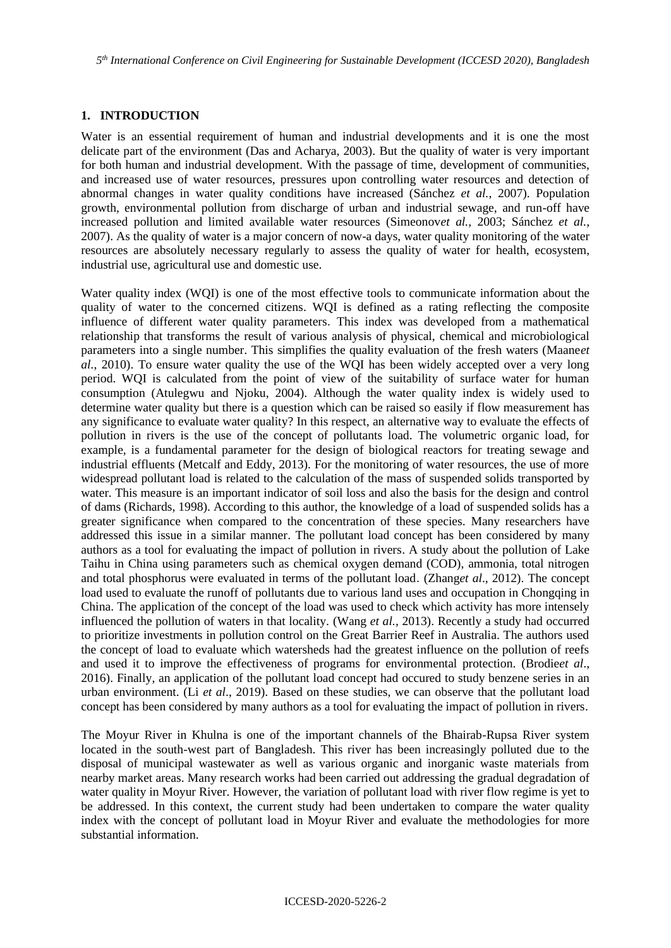*5 th International Conference on Civil Engineering for Sustainable Development (ICCESD 2020), Bangladesh*

## **1. INTRODUCTION**

Water is an essential requirement of human and industrial developments and it is one the most delicate part of the environment (Das and Acharya, 2003). But the quality of water is very important for both human and industrial development. With the passage of time, development of communities, and increased use of water resources, pressures upon controlling water resources and detection of abnormal changes in water quality conditions have increased (Sánchez *et al.*, 2007). Population growth, environmental pollution from discharge of urban and industrial sewage, and run-off have increased pollution and limited available water resources (Simeonov*et al.,* 2003; Sánchez *et al.,*  2007). As the quality of water is a major concern of now-a days, water quality monitoring of the water resources are absolutely necessary regularly to assess the quality of water for health, ecosystem, industrial use, agricultural use and domestic use.

Water quality index (WQI) is one of the most effective tools to communicate information about the quality of water to the concerned citizens. WQI is defined as a rating reflecting the composite influence of different water quality parameters. This index was developed from a mathematical relationship that transforms the result of various analysis of physical, chemical and microbiological parameters into a single number. This simplifies the quality evaluation of the fresh waters (Maane*et al.*, 2010). To ensure water quality the use of the WQI has been widely accepted over a very long period. WQI is calculated from the point of view of the suitability of surface water for human consumption (Atulegwu and Njoku, 2004). Although the water quality index is widely used to determine water quality but there is a question which can be raised so easily if flow measurement has any significance to evaluate water quality? In this respect, an alternative way to evaluate the effects of pollution in rivers is the use of the concept of pollutants load. The volumetric organic load, for example, is a fundamental parameter for the design of biological reactors for treating sewage and industrial effluents (Metcalf and Eddy, 2013). For the monitoring of water resources, the use of more widespread pollutant load is related to the calculation of the mass of suspended solids transported by water. This measure is an important indicator of soil loss and also the basis for the design and control of dams (Richards, 1998). According to this author, the knowledge of a load of suspended solids has a greater significance when compared to the concentration of these species. Many researchers have addressed this issue in a similar manner. The pollutant load concept has been considered by many authors as a tool for evaluating the impact of pollution in rivers. A study about the pollution of Lake Taihu in China using parameters such as chemical oxygen demand (COD), ammonia, total nitrogen and total phosphorus were evaluated in terms of the pollutant load. (Zhang*et al*., 2012). The concept load used to evaluate the runoff of pollutants due to various land uses and occupation in Chongqing in China. The application of the concept of the load was used to check which activity has more intensely influenced the pollution of waters in that locality. (Wang *et al.,* 2013). Recently a study had occurred to prioritize investments in pollution control on the Great Barrier Reef in Australia. The authors used the concept of load to evaluate which watersheds had the greatest influence on the pollution of reefs and used it to improve the effectiveness of programs for environmental protection. (Brodie*et al*., 2016). Finally, an application of the pollutant load concept had occured to study benzene series in an urban environment. (Li *et al*., 2019). Based on these studies, we can observe that the pollutant load concept has been considered by many authors as a tool for evaluating the impact of pollution in rivers.

The Moyur River in Khulna is one of the important channels of the Bhairab-Rupsa River system located in the south-west part of Bangladesh. This river has been increasingly polluted due to the disposal of municipal wastewater as well as various organic and inorganic waste materials from nearby market areas. Many research works had been carried out addressing the gradual degradation of water quality in Moyur River. However, the variation of pollutant load with river flow regime is yet to be addressed. In this context, the current study had been undertaken to compare the water quality index with the concept of pollutant load in Moyur River and evaluate the methodologies for more substantial information.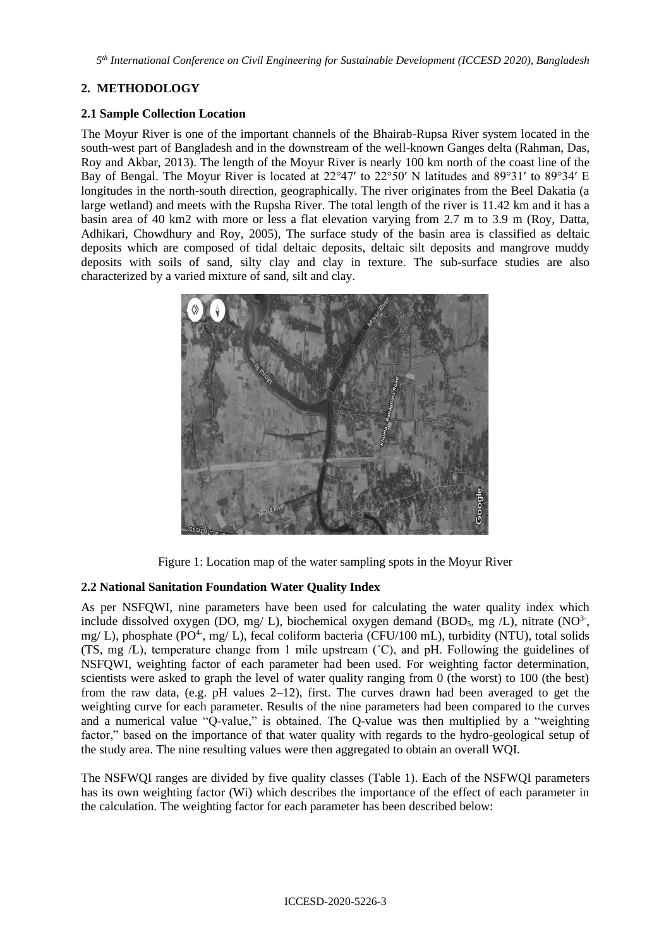*5 th International Conference on Civil Engineering for Sustainable Development (ICCESD 2020), Bangladesh*

# **2. METHODOLOGY**

# **2.1 Sample Collection Location**

The Moyur River is one of the important channels of the Bhairab-Rupsa River system located in the south-west part of Bangladesh and in the downstream of the well-known Ganges delta (Rahman, Das, Roy and Akbar, 2013). The length of the Moyur River is nearly 100 km north of the coast line of the Bay of Bengal. The Moyur River is located at 22°47′ to 22°50′ N latitudes and 89°31′ to 89°34′ E longitudes in the north-south direction, geographically. The river originates from the Beel Dakatia (a large wetland) and meets with the Rupsha River. The total length of the river is 11.42 km and it has a basin area of 40 km2 with more or less a flat elevation varying from 2.7 m to 3.9 m (Roy, Datta, Adhikari, Chowdhury and Roy, 2005), The surface study of the basin area is classified as deltaic deposits which are composed of tidal deltaic deposits, deltaic silt deposits and mangrove muddy deposits with soils of sand, silty clay and clay in texture. The sub-surface studies are also characterized by a varied mixture of sand, silt and clay.



Figure 1: Location map of the water sampling spots in the Moyur River

# **2.2 National Sanitation Foundation Water Quality Index**

As per NSFQWI, nine parameters have been used for calculating the water quality index which include dissolved oxygen (DO, mg/ L), biochemical oxygen demand (BOD<sub>5</sub>, mg/L), nitrate (NO<sup>3-</sup>, mg/ L), phosphate (PO<sup>4-</sup>, mg/ L), fecal coliform bacteria (CFU/100 mL), turbidity (NTU), total solids (TS, mg /L), temperature change from 1 mile upstream (˚C), and pH. Following the guidelines of NSFQWI, weighting factor of each parameter had been used. For weighting factor determination, scientists were asked to graph the level of water quality ranging from 0 (the worst) to 100 (the best) from the raw data, (e.g. pH values 2–12), first. The curves drawn had been averaged to get the weighting curve for each parameter. Results of the nine parameters had been compared to the curves and a numerical value "Q-value," is obtained. The Q-value was then multiplied by a "weighting factor," based on the importance of that water quality with regards to the hydro-geological setup of the study area. The nine resulting values were then aggregated to obtain an overall WQI.

The NSFWQI ranges are divided by five quality classes (Table 1). Each of the NSFWQI parameters has its own weighting factor (Wi) which describes the importance of the effect of each parameter in the calculation. The weighting factor for each parameter has been described below: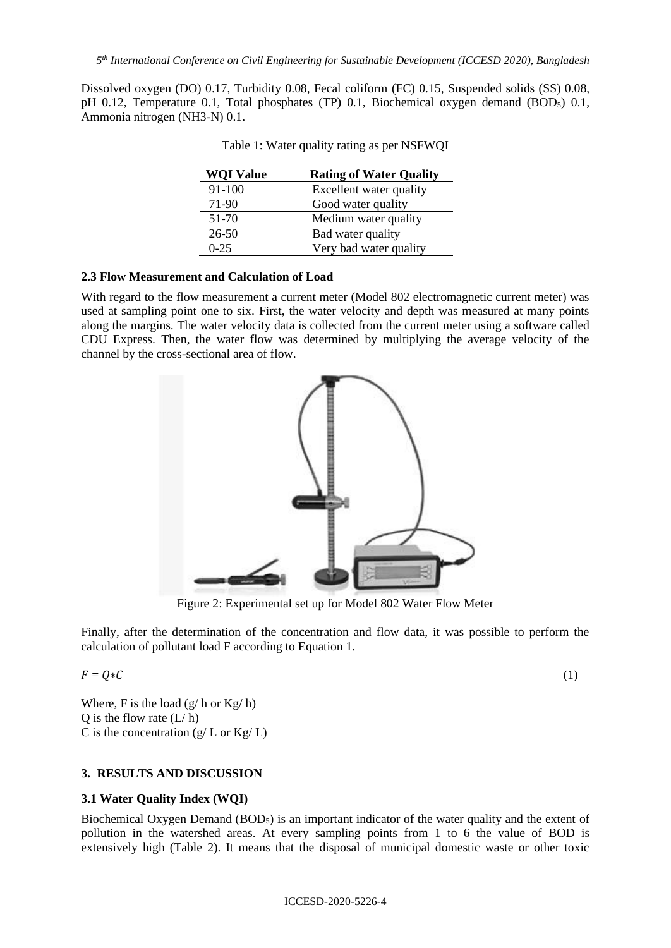Dissolved oxygen (DO) 0.17, Turbidity 0.08, Fecal coliform (FC) 0.15, Suspended solids (SS) 0.08, pH 0.12, Temperature 0.1, Total phosphates (TP) 0.1, Biochemical oxygen demand (BOD<sub>5</sub>) 0.1, Ammonia nitrogen (NH3-N) 0.1.

| <b>WQI Value</b> | <b>Rating of Water Quality</b> |
|------------------|--------------------------------|
| 91-100           | Excellent water quality        |
| 71-90            | Good water quality             |
| 51-70            | Medium water quality           |
| $26 - 50$        | Bad water quality              |
| $0 - 25$         | Very bad water quality         |

| Table 1: Water quality rating as per NSFWQI |  |  |  |
|---------------------------------------------|--|--|--|
|                                             |  |  |  |

#### **2.3 Flow Measurement and Calculation of Load**

With regard to the flow measurement a current meter (Model 802 electromagnetic current meter) was used at sampling point one to six. First, the water velocity and depth was measured at many points along the margins. The water velocity data is collected from the current meter using a software called CDU Express. Then, the water flow was determined by multiplying the average velocity of the channel by the cross-sectional area of flow.



Figure 2: Experimental set up for Model 802 Water Flow Meter

Finally, after the determination of the concentration and flow data, it was possible to perform the calculation of pollutant load F according to Equation 1.

$$
F = Q * C \tag{1}
$$

Where, F is the load  $(g/h$  or  $Kg/h$ ) Q is the flow rate  $(L/h)$ C is the concentration  $(g/L \text{ or } Kg/L)$ 

## **3. RESULTS AND DISCUSSION**

#### **3.1 Water Quality Index (WQI)**

Biochemical Oxygen Demand (BOD<sub>5</sub>) is an important indicator of the water quality and the extent of pollution in the watershed areas. At every sampling points from 1 to 6 the value of BOD is extensively high (Table 2). It means that the disposal of municipal domestic waste or other toxic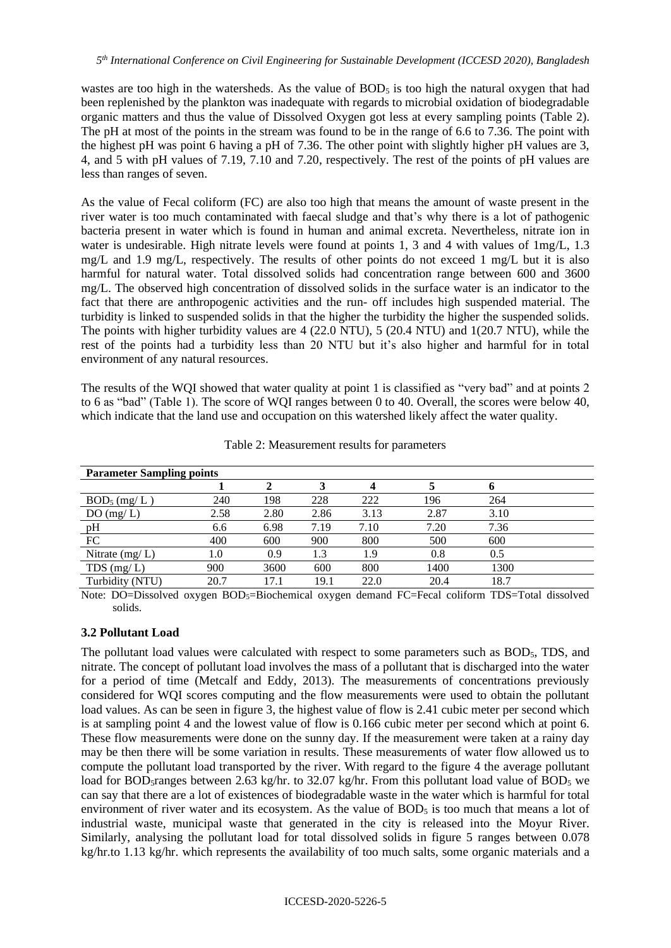wastes are too high in the watersheds. As the value of  $BOD<sub>5</sub>$  is too high the natural oxygen that had been replenished by the plankton was inadequate with regards to microbial oxidation of biodegradable organic matters and thus the value of Dissolved Oxygen got less at every sampling points (Table 2). The pH at most of the points in the stream was found to be in the range of 6.6 to 7.36. The point with the highest pH was point 6 having a pH of 7.36. The other point with slightly higher pH values are 3, 4, and 5 with pH values of 7.19, 7.10 and 7.20, respectively. The rest of the points of pH values are less than ranges of seven.

As the value of Fecal coliform (FC) are also too high that means the amount of waste present in the river water is too much contaminated with faecal sludge and that's why there is a lot of pathogenic bacteria present in water which is found in human and animal excreta. Nevertheless, nitrate ion in water is undesirable. High nitrate levels were found at points 1, 3 and 4 with values of 1mg/L, 1.3 mg/L and 1.9 mg/L, respectively. The results of other points do not exceed 1 mg/L but it is also harmful for natural water. Total dissolved solids had concentration range between 600 and 3600 mg/L. The observed high concentration of dissolved solids in the surface water is an indicator to the fact that there are anthropogenic activities and the run- off includes high suspended material. The turbidity is linked to suspended solids in that the higher the turbidity the higher the suspended solids. The points with higher turbidity values are 4 (22.0 NTU), 5 (20.4 NTU) and 1(20.7 NTU), while the rest of the points had a turbidity less than 20 NTU but it's also higher and harmful for in total environment of any natural resources.

The results of the WQI showed that water quality at point 1 is classified as "very bad" and at points 2 to 6 as "bad" (Table 1). The score of WQI ranges between 0 to 40. Overall, the scores were below 40, which indicate that the land use and occupation on this watershed likely affect the water quality.

| <b>Parameter Sampling points</b> |      |      |      |      |      |      |  |  |  |
|----------------------------------|------|------|------|------|------|------|--|--|--|
|                                  |      |      |      |      |      |      |  |  |  |
| $BOD_5$ (mg/L)                   | 240  | 198  | 228  | 222  | 196  | 264  |  |  |  |
| DO(mg/L)                         | 2.58 | 2.80 | 2.86 | 3.13 | 2.87 | 3.10 |  |  |  |
| pH                               | 6.6  | 6.98 | 7.19 | 7.10 | 7.20 | 7.36 |  |  |  |
| FC                               | 400  | 600  | 900  | 800  | 500  | 600  |  |  |  |
| Nitrate $(mg/L)$                 | 1.0  | 0.9  | 1.3  | 1.9  | 0.8  | 0.5  |  |  |  |
| TDS $(mg/L)$                     | 900  | 3600 | 600  | 800  | 1400 | 1300 |  |  |  |
| Turbidity (NTU)                  | 20.7 | 17.1 | 19.1 | 22.0 | 20.4 | 18.7 |  |  |  |

Table 2: Measurement results for parameters

Note: DO=Dissolved oxygen BOD<sub>5</sub>=Biochemical oxygen demand FC=Fecal coliform TDS=Total dissolved solids.

## **3.2 Pollutant Load**

The pollutant load values were calculated with respect to some parameters such as BOD5, TDS, and nitrate. The concept of pollutant load involves the mass of a pollutant that is discharged into the water for a period of time (Metcalf and Eddy, 2013). The measurements of concentrations previously considered for WQI scores computing and the flow measurements were used to obtain the pollutant load values. As can be seen in figure 3, the highest value of flow is 2.41 cubic meter per second which is at sampling point 4 and the lowest value of flow is 0.166 cubic meter per second which at point 6. These flow measurements were done on the sunny day. If the measurement were taken at a rainy day may be then there will be some variation in results. These measurements of water flow allowed us to compute the pollutant load transported by the river. With regard to the figure 4 the average pollutant load for BOD<sub>5</sub>ranges between 2.63 kg/hr. to 32.07 kg/hr. From this pollutant load value of BOD<sub>5</sub> we can say that there are a lot of existences of biodegradable waste in the water which is harmful for total environment of river water and its ecosystem. As the value of  $BOD<sub>5</sub>$  is too much that means a lot of industrial waste, municipal waste that generated in the city is released into the Moyur River. Similarly, analysing the pollutant load for total dissolved solids in figure 5 ranges between 0.078 kg/hr.to 1.13 kg/hr. which represents the availability of too much salts, some organic materials and a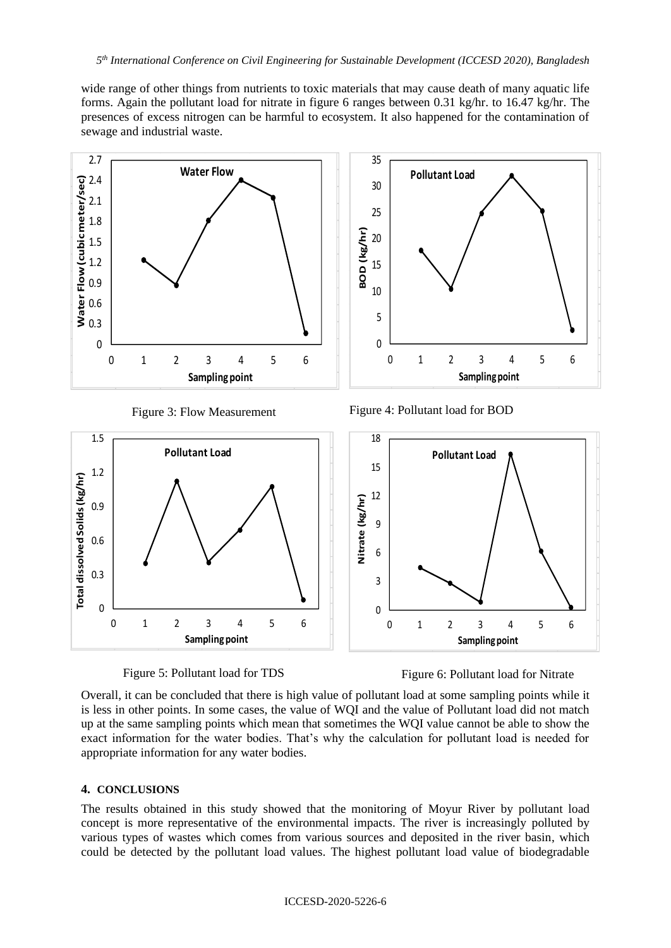wide range of other things from nutrients to toxic materials that may cause death of many aquatic life forms. Again the pollutant load for nitrate in figure 6 ranges between 0.31 kg/hr. to 16.47 kg/hr. The presences of excess nitrogen can be harmful to ecosystem. It also happened for the contamination of sewage and industrial waste.





Figure 5: Pollutant load for TDS Figure 6: Pollutant load for Nitrate

Overall, it can be concluded that there is high value of pollutant load at some sampling points while it is less in other points. In some cases, the value of WQI and the value of Pollutant load did not match up at the same sampling points which mean that sometimes the WQI value cannot be able to show the exact information for the water bodies. That's why the calculation for pollutant load is needed for appropriate information for any water bodies.

## **4. CONCLUSIONS**

The results obtained in this study showed that the monitoring of Moyur River by pollutant load concept is more representative of the environmental impacts. The river is increasingly polluted by various types of wastes which comes from various sources and deposited in the river basin, which could be detected by the pollutant load values. The highest pollutant load value of biodegradable